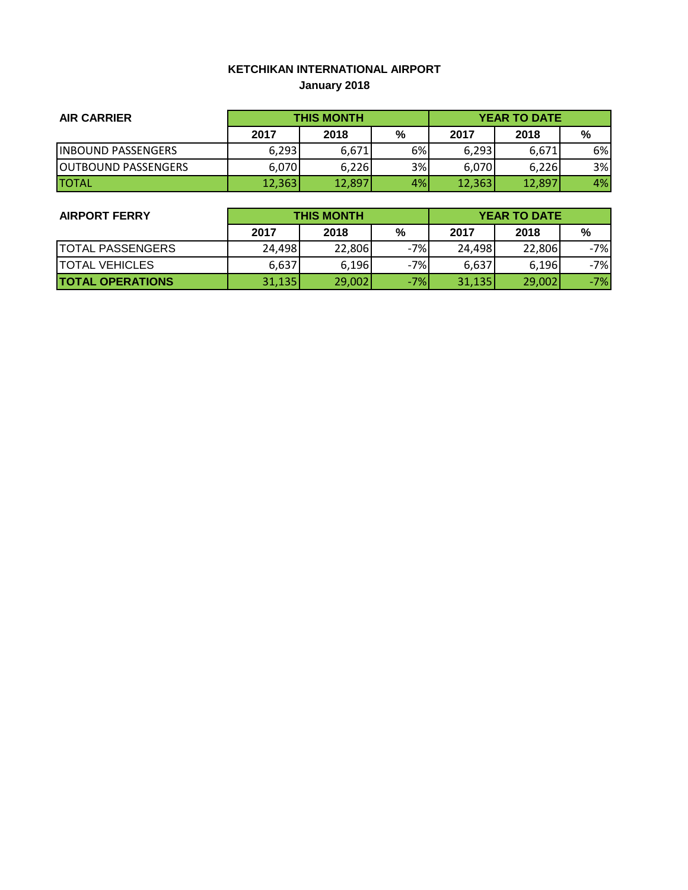# **KETCHIKAN INTERNATIONAL AIRPORT January 2018**

| <b>AIR CARRIER</b>          | <b>THIS MONTH</b> |        |    | <b>YEAR TO DATE</b> |        |    |
|-----------------------------|-------------------|--------|----|---------------------|--------|----|
|                             | 2017              | 2018   | %  | 2017                | 2018   | %  |
| <b>INBOUND PASSENGERS</b>   | 6,293             | 6,671  | 6% | 6,293               | 6,671  | 6% |
| <b>JOUTBOUND PASSENGERS</b> | 6,070             | 6,226  | 3% | 6,070               | 6,226  | 3% |
| <b>ITOTAL</b>               | 12,363            | 12,897 | 4% | 12,363              | 12,897 | 4% |

| <b>AIRPORT FERRY</b>    | <b>THIS MONTH</b> |        |       | <b>YEAR TO DATE</b> |        |       |  |
|-------------------------|-------------------|--------|-------|---------------------|--------|-------|--|
|                         | 2017              | 2018   | %     | 2017                | 2018   | %     |  |
| <b>TOTAL PASSENGERS</b> | 24,498            | 22,806 | $-7%$ | 24,498              | 22,806 | -7%l  |  |
| <b>TOTAL VEHICLES</b>   | 6,637             | 6,196  | $-7%$ | 6,637               | 6,196  | -7%l  |  |
| <b>TOTAL OPERATIONS</b> | 31,135            | 29,002 | $-7%$ | 31,135              | 29,002 | $-7%$ |  |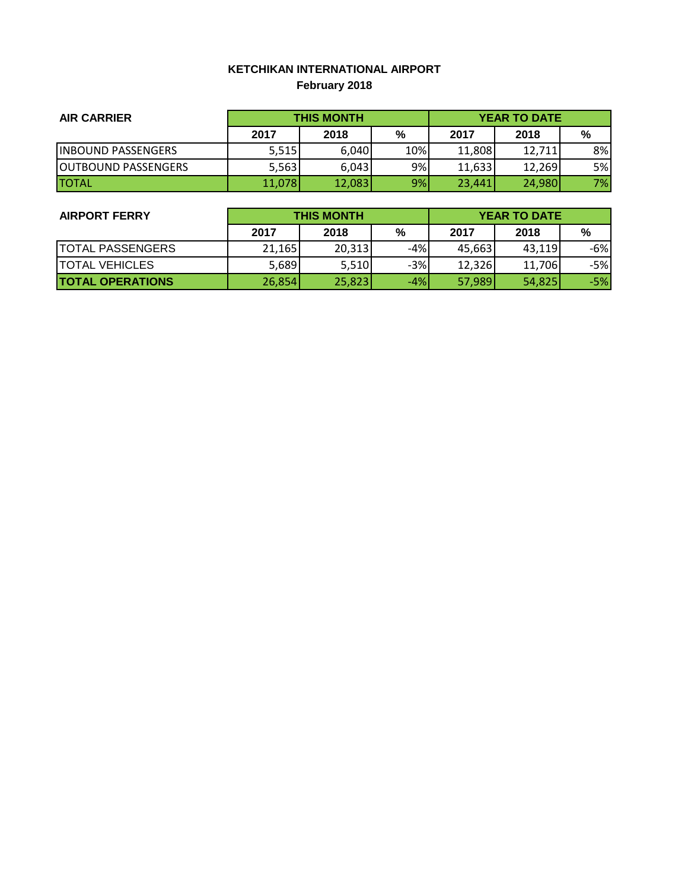## **KETCHIKAN INTERNATIONAL AIRPORT February 2018**

| <b>AIR CARRIER</b>         | <b>THIS MONTH</b> |        |     | <b>YEAR TO DATE</b> |        |     |
|----------------------------|-------------------|--------|-----|---------------------|--------|-----|
|                            | 2017              | 2018   | %   | 2017                | 2018   | %   |
| <b>INBOUND PASSENGERS</b>  | 5,515             | 6,040  | 10% | 11,808              | 12,711 | 8%  |
| <b>OUTBOUND PASSENGERS</b> | 5,563             | 6,043  | 9%  | 11,633              | 12,269 | 5%l |
| <b>ITOTAL</b>              | 11,078            | 12,083 | 9%  | 23.441              | 24,980 | 7%  |

| <b>AIRPORT FERRY</b>    | <b>THIS MONTH</b> |        |       | <b>YEAR TO DATE</b> |        |       |  |
|-------------------------|-------------------|--------|-------|---------------------|--------|-------|--|
|                         | 2017              | 2018   | %     | 2017                | 2018   | %     |  |
| <b>TOTAL PASSENGERS</b> | 21,165            | 20,313 | -4%   | 45,663              | 43,119 | -6%l  |  |
| <b>TOTAL VEHICLES</b>   | 5,689             | 5,510  | $-3%$ | 12,326              | 11,706 | -5%l  |  |
| <b>TOTAL OPERATIONS</b> | 26,854            | 25,823 | $-4%$ | 57,989              | 54,825 | $-5%$ |  |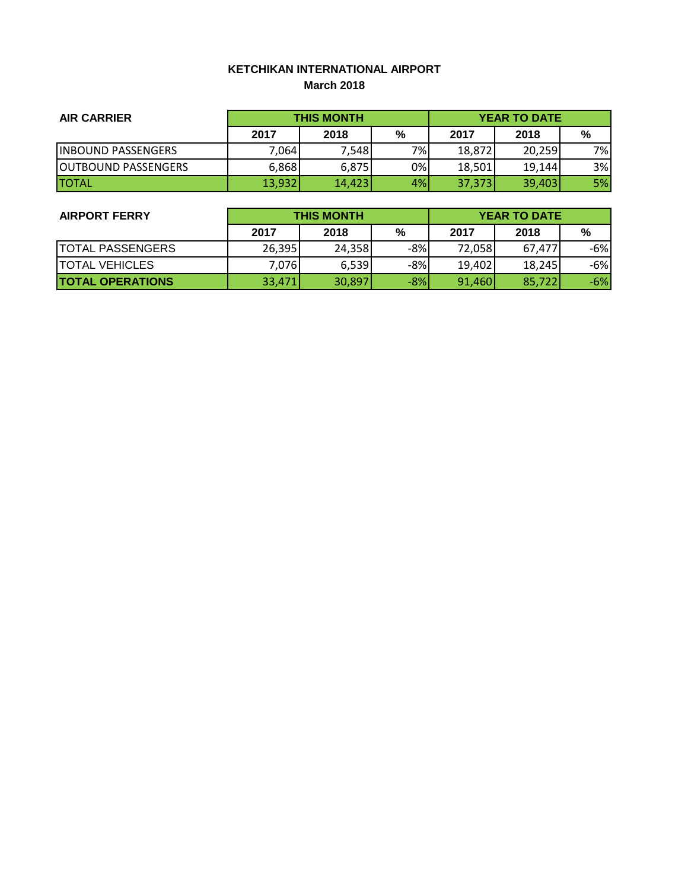## **KETCHIKAN INTERNATIONAL AIRPORT March 2018**

| <b>AIR CARRIER</b>          | <b>THIS MONTH</b> |        |    | <b>YEAR TO DATE</b> |        |           |
|-----------------------------|-------------------|--------|----|---------------------|--------|-----------|
|                             | 2017              | 2018   | %  | 2017                | 2018   | %         |
| <b>INBOUND PASSENGERS</b>   | 7.064             | 7,548  | 7% | 18,872              | 20.259 | 7%l       |
| <b>JOUTBOUND PASSENGERS</b> | 6,868             | 6,875  | 0% | 18,501              | 19,144 | 3%        |
| <b>ITOTAL</b>               | 13,932            | 14,423 | 4% | 37,373              | 39,403 | <b>5%</b> |

| <b>AIRPORT FERRY</b>    | <b>THIS MONTH</b> |        |       | <b>YEAR TO DATE</b> |        |       |
|-------------------------|-------------------|--------|-------|---------------------|--------|-------|
|                         | 2017              | 2018   | %     | 2017                | 2018   | %     |
| <b>TOTAL PASSENGERS</b> | 26,395            | 24,358 | -8%   | 72,058              | 67,477 | -6%I  |
| <b>TOTAL VEHICLES</b>   | 7,076             | 6,539  | -8%   | 19,402              | 18,245 | -6%l  |
| <b>TOTAL OPERATIONS</b> | 33,471            | 30,897 | $-8%$ | 91,460              | 85,722 | $-6%$ |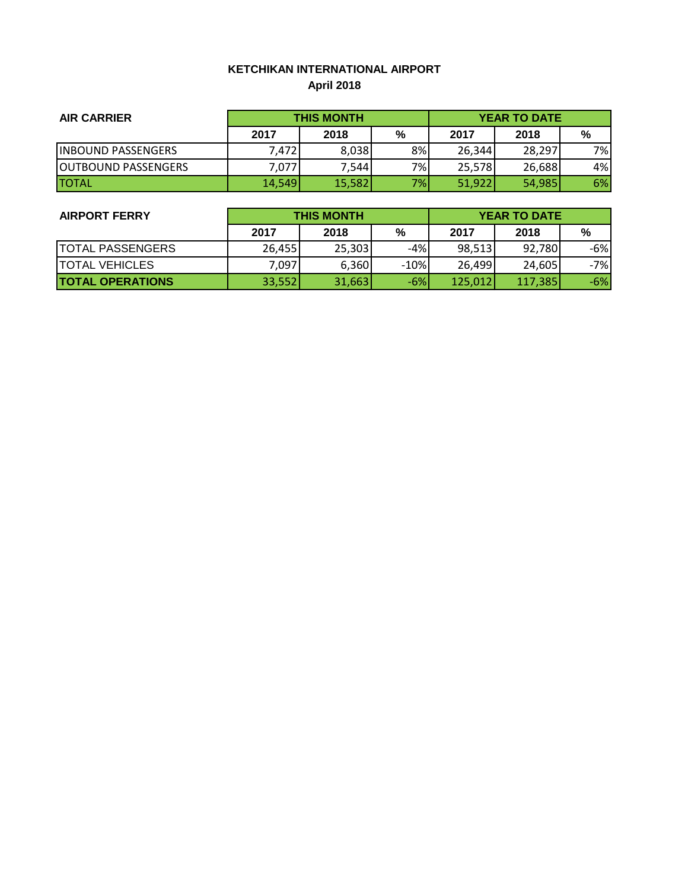## **KETCHIKAN INTERNATIONAL AIRPORT April 2018**

| <b>AIR CARRIER</b>          | <b>THIS MONTH</b> |        |    | <b>YEAR TO DATE</b> |        |     |
|-----------------------------|-------------------|--------|----|---------------------|--------|-----|
|                             | 2017              | 2018   | %  | 2017                | 2018   | %   |
| <b>INBOUND PASSENGERS</b>   | 7.4721            | 8,038  | 8% | 26,344              | 28.297 | 7%l |
| <b>JOUTBOUND PASSENGERS</b> | 7,077             | 7,544  | 7% | 25,578              | 26,688 | 4%I |
| <b>ITOTAL</b>               | 14,549            | 15,582 | 7% | 51,922              | 54,985 | 6%  |

| <b>AIRPORT FERRY</b>    | <b>THIS MONTH</b> |        |        | <b>YEAR TO DATE</b> |         |       |  |
|-------------------------|-------------------|--------|--------|---------------------|---------|-------|--|
|                         | 2017              | 2018   | %      | 2017                | 2018    | %     |  |
| <b>TOTAL PASSENGERS</b> | 26,455            | 25,303 | -4%    | 98,513              | 92,780  | -6%I  |  |
| <b>TOTAL VEHICLES</b>   | 7,097             | 6,360  | $-10%$ | 26,499              | 24,605  | -7%l  |  |
| <b>TOTAL OPERATIONS</b> | 33,552            | 31,663 | $-6%$  | 125,012             | 117,385 | $-6%$ |  |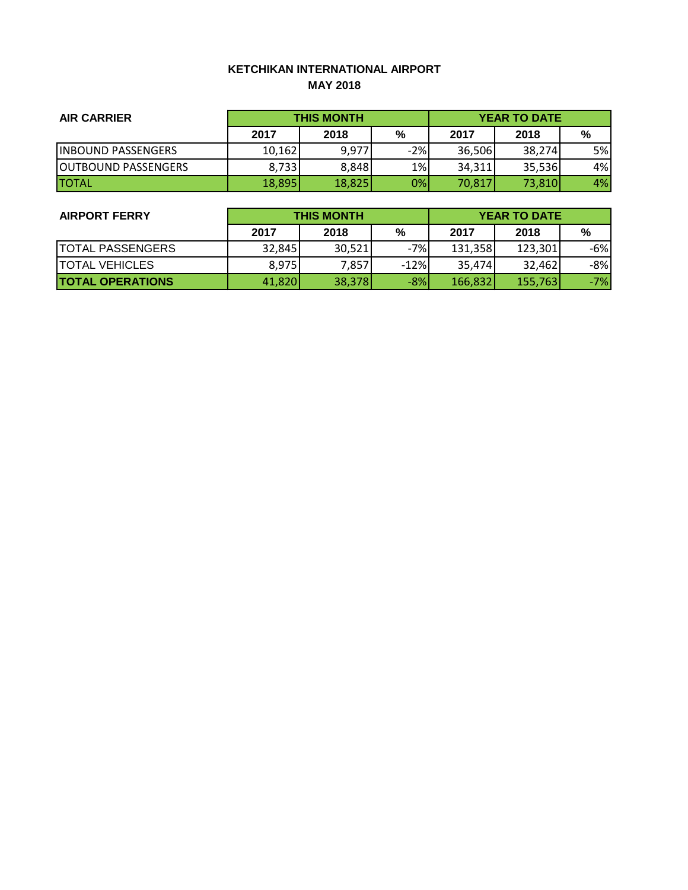## **KETCHIKAN INTERNATIONAL AIRPORT MAY 2018**

| <b>AIR CARRIER</b>          | <b>THIS MONTH</b> |        |       | <b>YEAR TO DATE</b> |        |     |
|-----------------------------|-------------------|--------|-------|---------------------|--------|-----|
|                             | 2017              | 2018   | %     | 2017                | 2018   | %   |
| <b>INBOUND PASSENGERS</b>   | 10,162            | 9,977  | $-2%$ | 36,506              | 38,274 | 5%I |
| <b>JOUTBOUND PASSENGERS</b> | 8,733             | 8,848  | 1%    | 34,311              | 35,536 | 4%  |
| <b>ITOTAL</b>               | 18,895            | 18,825 | 0%    | 70,817              | 73,810 | 4%  |

| <b>AIRPORT FERRY</b>    | <b>THIS MONTH</b> |        |        | <b>YEAR TO DATE</b> |         |       |  |
|-------------------------|-------------------|--------|--------|---------------------|---------|-------|--|
|                         | 2017              | 2018   | %      | 2017                | 2018    | %     |  |
| <b>TOTAL PASSENGERS</b> | 32,845            | 30,521 | $-7%$  | 131,358             | 123,301 | -6%l  |  |
| <b>TOTAL VEHICLES</b>   | 8,975             | 7,857  | $-12%$ | 35,474              | 32,462  | -8%l  |  |
| <b>TOTAL OPERATIONS</b> | 41,820            | 38,378 | $-8%$  | 166,832             | 155,763 | $-7%$ |  |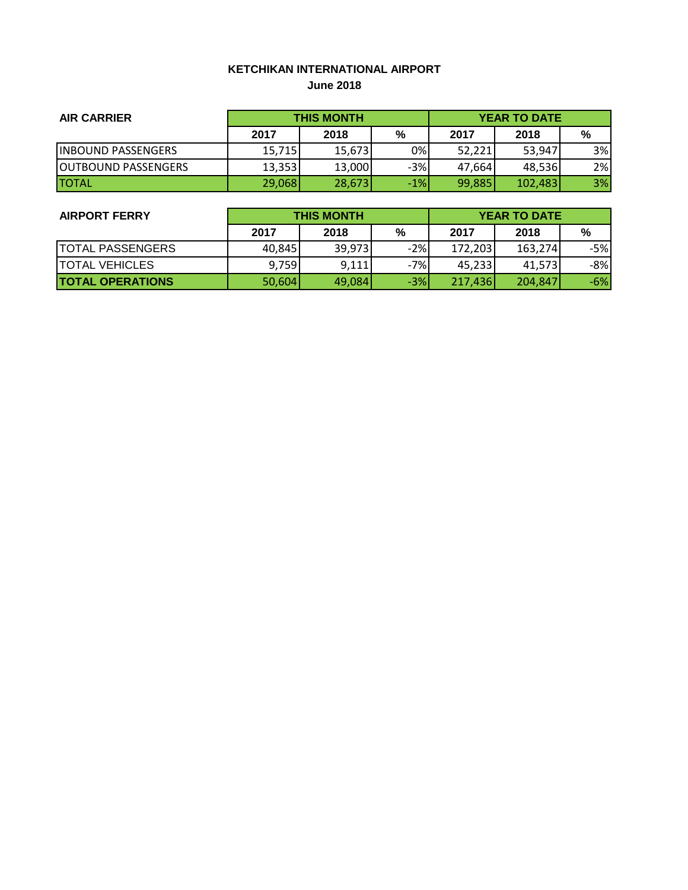## **KETCHIKAN INTERNATIONAL AIRPORT June 2018**

| <b>AIR CARRIER</b>          | <b>THIS MONTH</b> |        |       | <b>YEAR TO DATE</b> |         |    |
|-----------------------------|-------------------|--------|-------|---------------------|---------|----|
|                             | 2017              | 2018   | %     | 2017                | 2018    | %  |
| <b>INBOUND PASSENGERS</b>   | 15,715            | 15,673 | 0%    | 52,221              | 53.947  | 3% |
| <b>JOUTBOUND PASSENGERS</b> | 13,353            | 13,000 | $-3%$ | 47.664              | 48,536  | 2% |
| <b>ITOTAL</b>               | 29,068            | 28,673 | $-1%$ | 99,885              | 102,483 | 3% |

| <b>AIRPORT FERRY</b>    | <b>THIS MONTH</b> |        |       | <b>YEAR TO DATE</b> |         |       |  |
|-------------------------|-------------------|--------|-------|---------------------|---------|-------|--|
|                         | 2017              | 2018   | %     | 2017                | 2018    | %     |  |
| <b>TOTAL PASSENGERS</b> | 40,845            | 39,973 | $-2%$ | 172,203             | 163,274 | -5%l  |  |
| <b>TOTAL VEHICLES</b>   | 9,759             | 9,111  | $-7%$ | 45,233              | 41,573  | -8%l  |  |
| <b>TOTAL OPERATIONS</b> | 50,604            | 49,084 | $-3%$ | 217,436             | 204,847 | $-6%$ |  |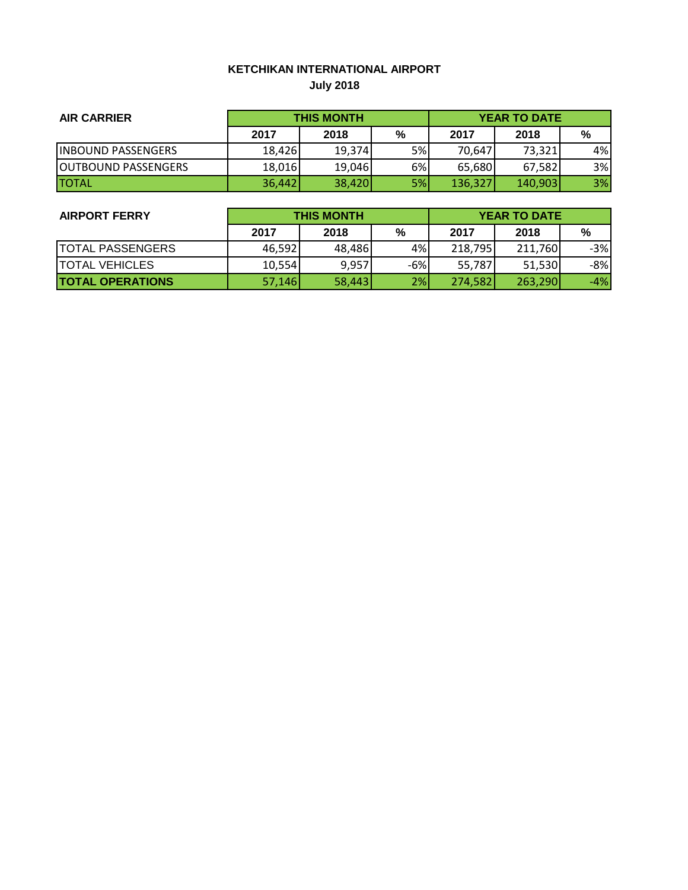## **KETCHIKAN INTERNATIONAL AIRPORT July 2018**

| <b>AIR CARRIER</b>          | <b>THIS MONTH</b> |        |    | <b>YEAR TO DATE</b> |         |           |
|-----------------------------|-------------------|--------|----|---------------------|---------|-----------|
|                             | 2017              | 2018   | %  | 2017                | 2018    | %         |
| <b>INBOUND PASSENGERS</b>   | 18,426            | 19,374 | 5% | 70.647              | 73.321  | 4%I       |
| <b>JOUTBOUND PASSENGERS</b> | 18,016            | 19,046 | 6% | 65,680              | 67,582  | 3%        |
| <b>ITOTAL</b>               | 36,442            | 38,420 | 5% | 136,327             | 140,903 | <b>3%</b> |

| <b>AIRPORT FERRY</b>    | <b>THIS MONTH</b> |        |      | <b>YEAR TO DATE</b> |         |       |  |
|-------------------------|-------------------|--------|------|---------------------|---------|-------|--|
|                         | 2017              | 2018   | %    | 2017                | 2018    | %     |  |
| <b>TOTAL PASSENGERS</b> | 46,592            | 48,486 | 4%   | 218,795             | 211,760 | $-3%$ |  |
| <b>TOTAL VEHICLES</b>   | 10,554            | 9,957  | -6%! | 55,787              | 51,530  | -8%l  |  |
| <b>TOTAL OPERATIONS</b> | 57,146            | 58,443 | 2%   | 274,582             | 263,290 | $-4%$ |  |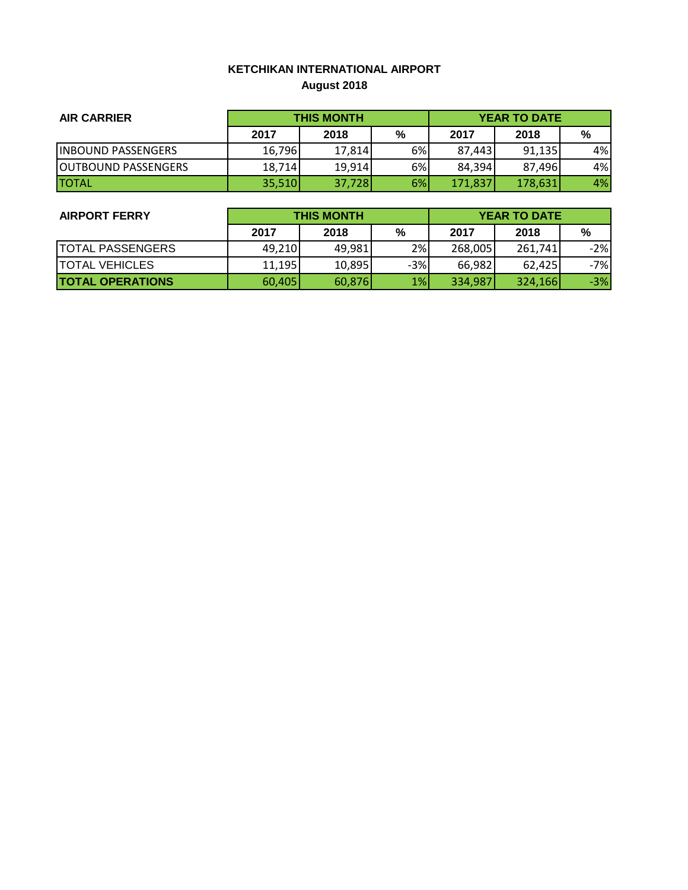## **KETCHIKAN INTERNATIONAL AIRPORT August 2018**

| <b>AIR CARRIER</b>          | <b>THIS MONTH</b> |        |    | <b>YEAR TO DATE</b> |         |    |  |
|-----------------------------|-------------------|--------|----|---------------------|---------|----|--|
|                             | 2017              | 2018   | %  | 2017                | 2018    | %  |  |
| <b>INBOUND PASSENGERS</b>   | 16,796            | 17,814 | 6% | 87.4431             | 91,135  | 4% |  |
| <b>JOUTBOUND PASSENGERS</b> | 18.714            | 19,914 | 6% | 84,394              | 87,496  | 4% |  |
| <b>TOTAL</b>                | 35,510            | 37,728 | 6% | 171,837             | 178,631 | 4% |  |

| <b>AIRPORT FERRY</b>    | <b>THIS MONTH</b> |        |       | <b>YEAR TO DATE</b> |         |       |  |
|-------------------------|-------------------|--------|-------|---------------------|---------|-------|--|
|                         | 2017              | 2018   | %     | 2017                | 2018    | %     |  |
| <b>TOTAL PASSENGERS</b> | 49,210            | 49,981 | 2%    | 268,005             | 261,741 | $-2%$ |  |
| <b>TOTAL VEHICLES</b>   | 11,195            | 10,895 | $-3%$ | 66,982              | 62,425  | -7%l  |  |
| <b>TOTAL OPERATIONS</b> | 60,405            | 60,876 | 1%    | 334,987             | 324,166 | $-3%$ |  |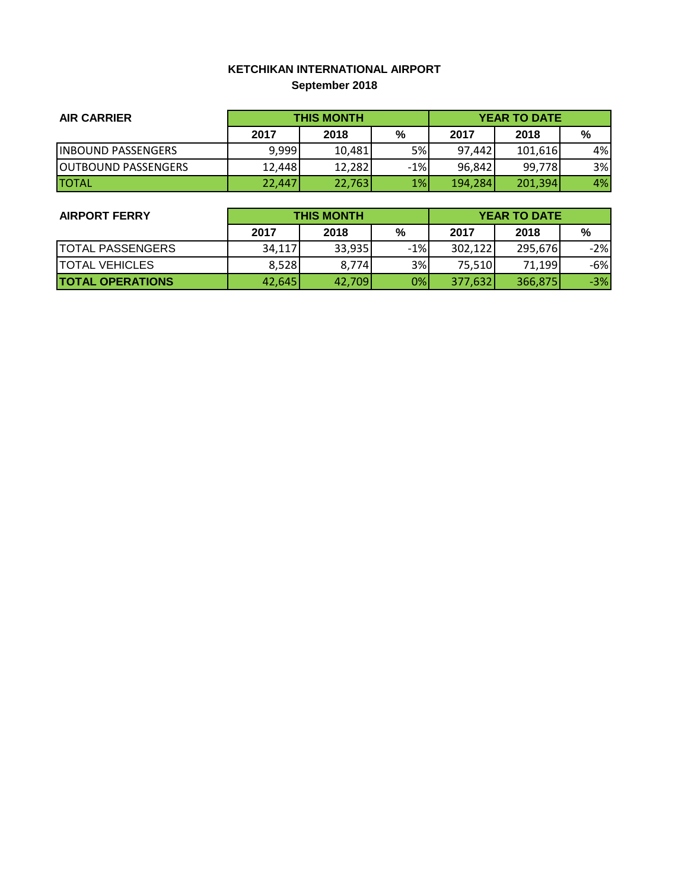## **KETCHIKAN INTERNATIONAL AIRPORT September 2018**

| <b>AIR CARRIER</b>          | <b>THIS MONTH</b> |        |       | <b>YEAR TO DATE</b> |         |    |  |
|-----------------------------|-------------------|--------|-------|---------------------|---------|----|--|
|                             | 2017              | 2018   | %     | 2017                | 2018    | %  |  |
| <b>INBOUND PASSENGERS</b>   | 9,999             | 10,481 | 5%    | 97.4421             | 101,616 | 4% |  |
| <b>JOUTBOUND PASSENGERS</b> | 12,448            | 12,282 | $-1%$ | 96,842              | 99,778  | 3% |  |
| <b>ITOTAL</b>               | 22,447            | 22,763 | $1\%$ | 194,284             | 201,394 | 4% |  |

| <b>AIRPORT FERRY</b>    | <b>THIS MONTH</b> |        |       | <b>YEAR TO DATE</b> |         |       |  |
|-------------------------|-------------------|--------|-------|---------------------|---------|-------|--|
|                         | 2017              | 2018   | %     | 2017                | 2018    | %     |  |
| <b>TOTAL PASSENGERS</b> | 34,117            | 33,935 | $-1%$ | 302,122             | 295,676 | $-2%$ |  |
| <b>TOTAL VEHICLES</b>   | 8,528             | 8,774  | 3%    | 75,510              | 71,199  | -6%l  |  |
| <b>TOTAL OPERATIONS</b> | 42,645            | 42,709 | 0%    | 377,632             | 366,875 | $-3%$ |  |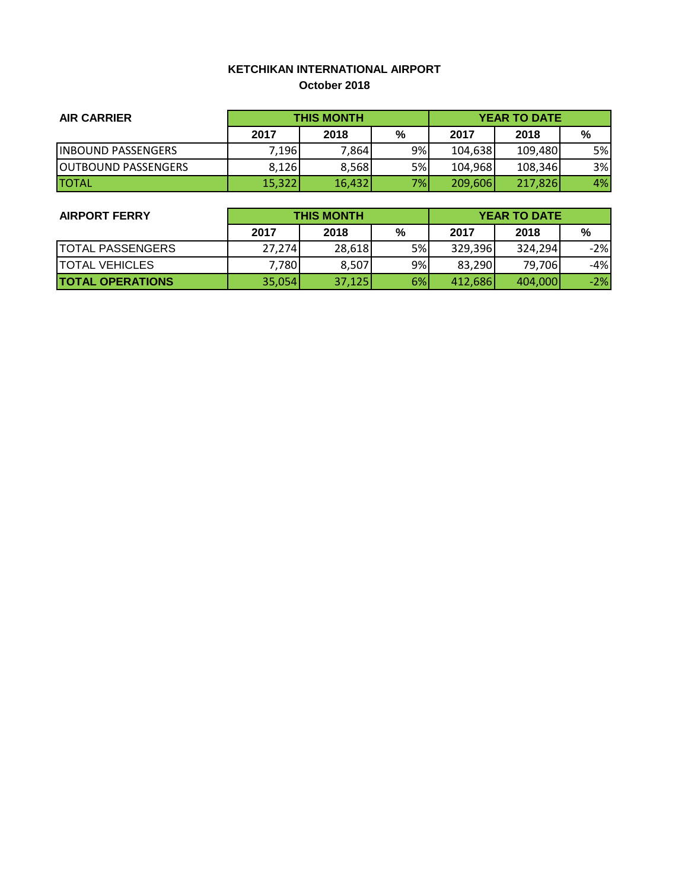## **KETCHIKAN INTERNATIONAL AIRPORT October 2018**

| <b>AIR CARRIER</b>          | <b>THIS MONTH</b> |        |    | <b>YEAR TO DATE</b> |         |     |
|-----------------------------|-------------------|--------|----|---------------------|---------|-----|
|                             | 2017              | 2018   | %  | 2017                | 2018    | %   |
| <b>INBOUND PASSENGERS</b>   | 7.196             | 7,864  | 9% | 104,638             | 109,480 | 5%I |
| <b>JOUTBOUND PASSENGERS</b> | 8,126             | 8,568  | 5% | 104,968             | 108,346 | 3%  |
| <b>ITOTAL</b>               | 15,322            | 16,432 | 7% | 209,606             | 217,826 | 4%  |

| <b>AIRPORT FERRY</b>    | <b>THIS MONTH</b> |        |    | <b>YEAR TO DATE</b> |         |       |  |
|-------------------------|-------------------|--------|----|---------------------|---------|-------|--|
|                         | 2017              | 2018   | %  | 2017                | 2018    | %     |  |
| <b>TOTAL PASSENGERS</b> | 27,274            | 28,618 | 5% | 329,396             | 324,294 | $-2%$ |  |
| <b>TOTAL VEHICLES</b>   | 7,780             | 8,507  | 9% | 83,290              | 79,706  | -4%   |  |
| <b>TOTAL OPERATIONS</b> | 35,054            | 37,125 | 6% | 412,686             | 404,000 | $-2%$ |  |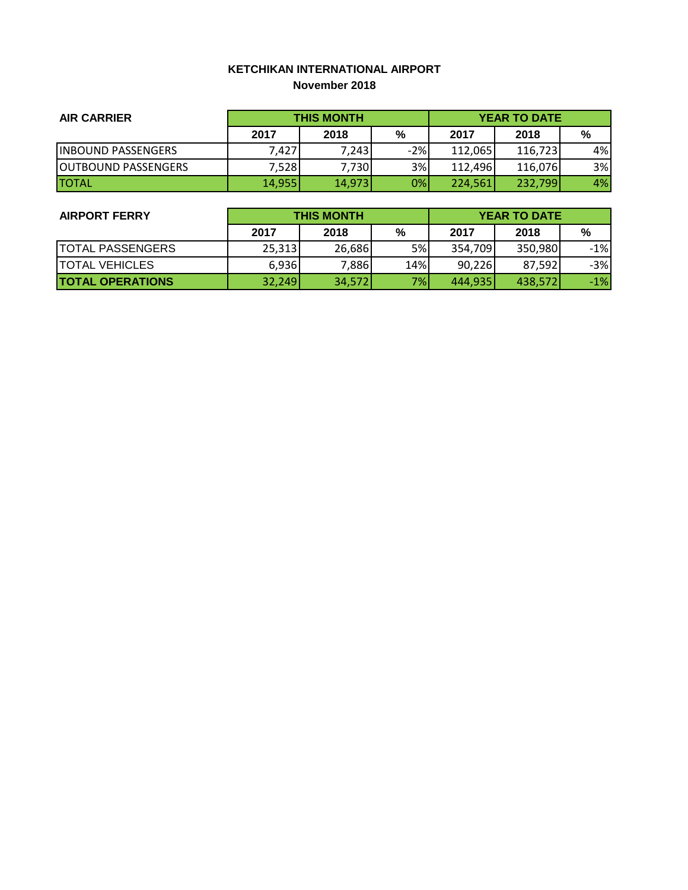## **KETCHIKAN INTERNATIONAL AIRPORT November 2018**

| <b>AIR CARRIER</b>          | <b>THIS MONTH</b> |        |       | <b>YEAR TO DATE</b> |         |    |  |
|-----------------------------|-------------------|--------|-------|---------------------|---------|----|--|
|                             | 2017              | 2018   | %     | 2017                | 2018    | %  |  |
| <b>INBOUND PASSENGERS</b>   | 7.427             | 7,243  | $-2%$ | 112,065             | 116,723 | 4% |  |
| <b>JOUTBOUND PASSENGERS</b> | 7,528             | 7,730  | 3%    | 112,496             | 116,076 | 3% |  |
| <b>ITOTAL</b>               | 14,955            | 14,973 | 0%    | 224,561             | 232,799 | 4% |  |

| <b>AIRPORT FERRY</b>    | <b>THIS MONTH</b> |        |     | <b>YEAR TO DATE</b> |         |       |  |
|-------------------------|-------------------|--------|-----|---------------------|---------|-------|--|
|                         | 2017              | 2018   | %   | 2017                | 2018    | %     |  |
| <b>TOTAL PASSENGERS</b> | 25,313            | 26,686 | 5%  | 354,709             | 350,980 | $-1%$ |  |
| <b>TOTAL VEHICLES</b>   | 6,936             | 7,8861 | 14% | 90,226              | 87,592  | $-3%$ |  |
| <b>TOTAL OPERATIONS</b> | 32,249            | 34,572 | 7%  | 444,935             | 438,572 | $-1%$ |  |